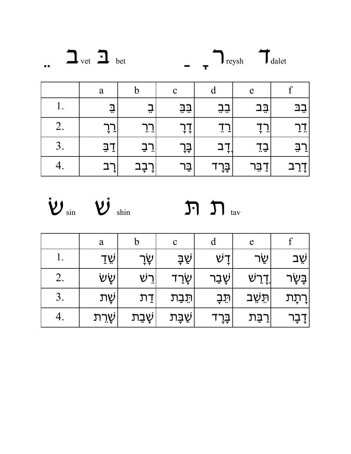

|           | a           | b                               | $\mathbf{C}$ | d       | e          |                            |
|-----------|-------------|---------------------------------|--------------|---------|------------|----------------------------|
| <b>1.</b> | $\exists$   | ᅲ                               | <u>בָבָ</u>  | ׁٟבָבָ  | <u>בָר</u> | ิำ1<br>∸≓                  |
| 2.        | ÷<br>∸      | $\sim$ $\sim$                   | ÷<br>÷.      | A.<br>÷ | ÷<br>÷.    | $ -$                       |
| 3.        | <u>ភ្នក</u> | $\overline{\phantom{a}}$<br>÷ ^ | ٟבְּךָ       | ÷       | ∽<br>╹┙    | - 1<br>$\blacksquare$<br>÷ |
| т.        | ÷.          | ⊥→<br>÷                         | בַּר         | ٟבְּךָ  | בַר<br>г.  | דְרַב <sub>ו</sub>         |



|    | a      | $\mathbf b$    | $\mathbf{C}$     | d       | e              |               |
|----|--------|----------------|------------------|---------|----------------|---------------|
|    | ֿשָׂדַ | ֿשָׂך          | <u>ֹשַׁבְ</u>    | ゼヿ゙     | שַׂר           | ֿשָׁב         |
| 2. | ּשָׂש  | רֵשׁ           | ゙゙゙゙゙゚゚ <u>゙</u> | ֿשָבַר  | <u>ן־ְר</u> שׁ | בָּשָׂר       |
| 3. | ֹשֻׂת  | <u>ከ፲</u>      | תֵּבַת           | הֹבׄב   | תִּשָׁב        | <u>ןרְתָת</u> |
|    | ֿשָרִת | <u>ֹשָׁב</u> ת | <u>ֹשַׁבָּת</u>  | ゚゙בָרָד | רַבַּת         | דָבָר Ț       |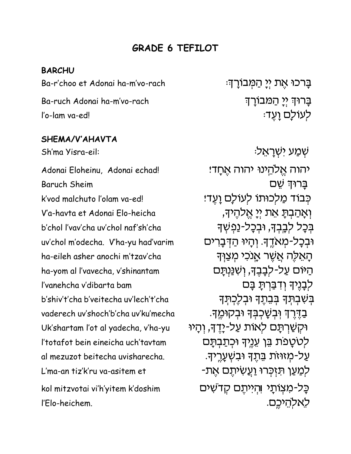# **GRADE 6 TEFILOT**

#### **BARCHU**

Ba-r'choo et Adonai ha-m'vo-rach Ba-ruch Adonai ha-m'vo-rach l'o-lam va-ed!

### SHEMA/V'AHAVTA

Sh'ma Yisra-eil:

Adonai Eloheinu, Adonai echad! **Baruch Sheim** k'vod malchuto l'olam va-edl V'a-havta et Adonai Flo-heicha b'chol l'vay'cha uy'chol naf'sh'cha uv'chol m'odecha. V'ha-yu had'varim ha-eileh asher anochi m'tzav'cha ha-yom al l'vavecha, v'shinantam l'vanehcha v'dibarta bam b'shiv't'cha b'veitecha uv'lech't'cha vaderech uv'shoch'b'cha uv'ku'mecha Uk'shartam l'ot al yadecha, v'ha-yu l'totafot bein eineicha uch'tavtam al mezuzot beitecha uvisharecha. L'ma-an tiz'k'ru va-asitem et kol mitzvotai vi'h'yitem k'doshim l'Elo-heichem.

ּבָרכוּ אֶת יִיַ הַמְּבוֹרָךָ: ַבַּרוּדְ יִיַ הַמַּבוֹרַדִּ ּלְעוֹלַם וַעֲד

ּשְׁמַע יִשְׁרָאֵל יהוה אֱלהֱינוּ יהוה אֶחֲד! ברוּד שם כִּבוֹד מַלְכוּתוֹ לְעוֹלַם וַעֲדׁ! וְאֲהַבְתַּ אֶת יִיַ אֱלְהֵיךָ, בִּכַל לְבֵבִךָ, וּבִכָל-נַפִּשְׁךָ וּבְכַל-מָאֹדֵךְ. וְהַיוּ הַדְּבַרִים הַאֵלֶה אֲשֶׁר אָנכִי מִצַוְּד הַיּוֹם עַל-לִבַּבֶּךָ, וְשָׁנַּנְתַּם לִבָּנֵיךָ וְדְבַּרְתָּ בָּם בִּשְׁבְתָּךְ בִּבְתֵךְ וּבְלֵכְתָךְ ּבַדֶּרֶךְ וְּבִשָּׁכִבְּךָ וּבְקוּמֵךָ. ּוּקְשַׁרְתָּם לְאוֹת עַל-יָדֵדּ, וְהַיוּ לְטטַפת בֵּן עֶנֵיךָ וּכְתַבְתַּם עַל-מְזוּזת בֵּתֵךְ וּבִשְׁעֲרֵיךָ. לִמַעַן תּזִכְּרוּ וַעֲשִׂיתֵם אֶת-כַּל-מְצִוּתַי וְהִייְתֵם קָדֹשִׁים לאלהיכם.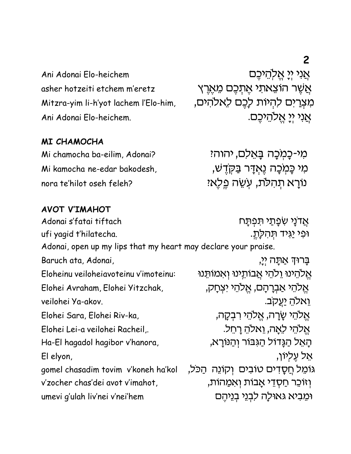$\overline{2}$ 

Ani Adonai Elo-heichem asher hotzeiti etchem m'eretz Mitzra-yim li-h'yot lachem l'Elo-him, Ani Adonai Elo-heichem.

Mi chamocha ba-eilim, Adonai?

Mi kamocha ne-edar bakodesh.

norg te'hilot oseh feleh?

אֲנִי יִי אֵלהֵיכֵם אֲשֶׁר הוֹצֵאתִי אֵתְכֵם מֵאֵרֵץ מִצְרַיִם לְהִיוֹת לַבֵם לֵאלהִים, אֲנִי יִיַ אֲלְהֵיּכֵם.

# מי-כַמִכָּה בָּאֵלם, יהוהי מי כַּמִכָּה וֵאִדַּר בַּקְדָשׁ, נורא תהלת, עְשֶׂה פֵלֶאיִ

## **AVOT V'IMAHOT**

**MI CHAMOCHA** 

אַדנַי שִׂפַּתַי תּפִתַּח Adonai s'fatai tiftach ופי <u>י</u>גיד תהלת. ufi yagid t'hilatecha. Adonai, open up my lips that my heart may declare your praise. Baruch ata, Adonai, ַבַּרוּדְּ אַתַּה יִי, אֱלהֵינוּ וֶלֹהֵי אֲבוֹתֱינוּ וְאִמוֹתֵנוּ Eloheinu veiloheiavoteinu v'imoteinu: אֱלהֵי אֲבִרָהָם, אֱלֹהֵי יִצְחַק, Elohei Avraham, Elohei Yitzchak, ואלה יַעֲקב. veilohei Ya-akov. אֱלֹהֵי שֲׂרַה, אֱלֹהֵי רִבְקָה, Elohei Sara, Elohei Riv-ka, אֱלהֵי לָאֲה, וֵאלהָ רַחֵל. Elohei Lei-a veilohei Racheil.. הָאֵל הַגָּדוֹל הַגְּבּוֹר וְהַנּוֹרָא, Ha-El hagadol hagibor v'hanora, אל עליוו, El elyon, גוֹמֵל חֲסָדִים טוֹבִים וְקוֹנֵה הַכּל, gomel chasadim tovim v'koneh ha'kol v'zocher chas'dei avot v'imahot. וְזוֹכֵר חַסְדֵי אֲבות וְאמַהוֹת, וּמֵבִיא גאוּלַה לִבְנֵי בְנֵיהֵם umevi g'ulah liv'nei v'nei'hem